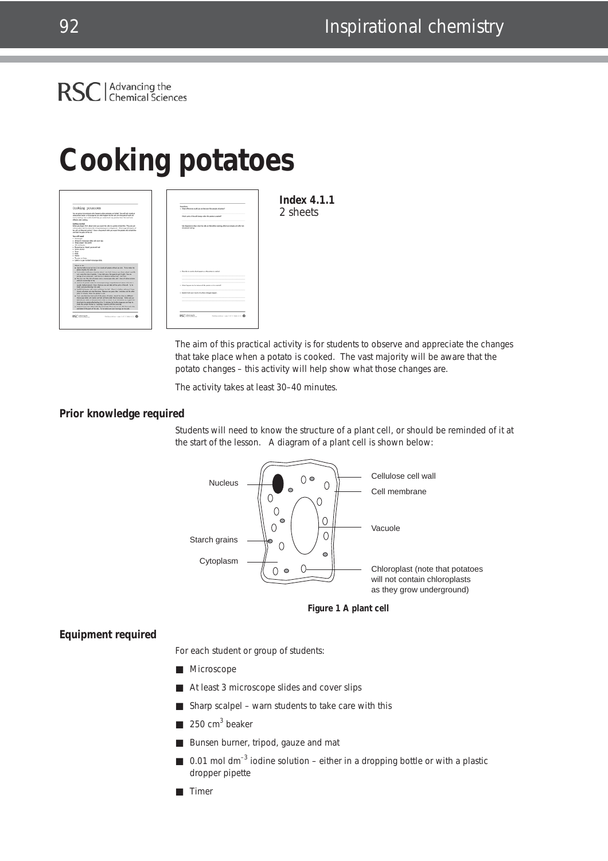

# **Cooking potatoes**

| Cooking potatoes                                                                                                                                                                                                                                                                                                                                                                                                                                                                                                        | <b>Constitute</b><br>4. Ohas differences cault you are fectiouse the canadic of parties?                              | <b>Index 4.1.1</b> |
|-------------------------------------------------------------------------------------------------------------------------------------------------------------------------------------------------------------------------------------------------------------------------------------------------------------------------------------------------------------------------------------------------------------------------------------------------------------------------------------------------------------------------|-----------------------------------------------------------------------------------------------------------------------|--------------------|
| You are going to investigate what hargains when potation are balled. You will look cloudy at<br>some potents under a moneyage to use what because to the orih and the parts of such call<br>alysing reading. Your emails should help you enderstand why postumes both. You' and healer<br><b>Afterior she cadara</b>                                                                                                                                                                                                    | fishion game of the call sharepy column the persons to create all                                                     | 2 sheets           |
| <b>Garning</b> sturted<br>before you finder. We'll about what you recent the side in a particle to find this. They are put<br>artisms about only had assuming that process areas understands. Which expands bush of<br>the cell will they want centure! (Source all equate all other pies expect the potters cells to book the<br>and lated the work of the cell.                                                                                                                                                       | Use chapters to cheer what the cells are the before starting, after two remutes and after ten-<br>minutes ad hallers. |                    |
| <b>New orient month</b><br>. Missouri<br>. Allegal 3 memorials date and street day.<br>a Share project - he combat<br>. Officer business                                                                                                                                                                                                                                                                                                                                                                                |                                                                                                                       |                    |
| . Rosen have Vand and out not<br>. Marshall<br>$+$ Source<br>a more                                                                                                                                                                                                                                                                                                                                                                                                                                                     |                                                                                                                       |                    |
| $-$ Patent<br>. Tracks a large<br>. Likely a per trial reconstantible.                                                                                                                                                                                                                                                                                                                                                                                                                                                  |                                                                                                                       |                    |
| <b>WALK NO. BA</b><br>. The first both he cut and here 2 complexity of policies in the d any dow. The her reduction<br>almost mounts, the same size.                                                                                                                                                                                                                                                                                                                                                                    |                                                                                                                       |                    |
| . Cut another studi prece of patiets about 1 con their, thing a sets check coded, carefully<br>out a cars then also of parters. It may take you a few gam to get it right. You are<br>almost to curve allow just 1 and thick on it reach to be how than 1 man thick-                                                                                                                                                                                                                                                    | it. Describe in coards what happens as the patters is explored                                                        |                    |
| . Religious way, this cities and paramic prefer a machinizer distin, add 1. drugs of codiner setublish.<br>and got a more the secret.<br>. Lost of the potate under the microcate suing a magnification of about 1700 (Bis is                                                                                                                                                                                                                                                                                           |                                                                                                                       |                    |
| straits methors percent. Drive what you are and label at the parts of the out. Turke<br>make your year dealers is to wait.<br>. And 18 the busine with make and bring it is had. When it is bading, will your 2 brigs.                                                                                                                                                                                                                                                                                                  | 3. Ohat happens to the testure of the partner or if it spatial?                                                       |                    |
| shorts of potate and start the tenar. Remove and place after 2 minutes and the other<br>after 10 minutes. After the private to coal.                                                                                                                                                                                                                                                                                                                                                                                    | a. Explosi from your totals why these changes happen.                                                                 |                    |
| . Call a very thin this four-soch of the precet of policies, mount the door an different<br>members date with solar and both at them waker the members in hide was you.<br>Med all your show as that you know which is which. It can be fused to not a good than<br>she from the potent after boding it for 10 minutes but by this chapt you can help to:<br>make the sensite throne by 'opening in penty with the cover sky.<br>. That at it show two pides sides the reconstant (busy are as lots and, from each pide |                                                                                                                       |                    |
| and label at the parts of the orb. The to make sampour thoustop are to scale.                                                                                                                                                                                                                                                                                                                                                                                                                                           |                                                                                                                       |                    |
| RSC internate<br>Delivation - out 1 d 2, 2ds 4.1.1 C                                                                                                                                                                                                                                                                                                                                                                                                                                                                    | RSC itterate<br><b>Delayates - on 2 d.2, bas LLI @</b>                                                                |                    |

The aim of this practical activity is for students to observe and appreciate the changes that take place when a potato is cooked. The vast majority will be aware that the potato changes – this activity will help show what those changes are.

The activity takes at least 30–40 minutes.

### **Prior knowledge required**

Students will need to know the structure of a plant cell, or should be reminded of it at the start of the lesson. A diagram of a plant cell is shown below:



**Figure 1 A plant cell**

### **Equipment required**

For each student or group of students:

- Microscope
- At least 3 microscope slides and cover slips
- Sharp scalpel warn students to take care with this
- $250 \text{ cm}^3$  beaker
- Bunsen burner, tripod, gauze and mat
- $\Box$  0.01 mol dm<sup>-3</sup> iodine solution either in a dropping bottle or with a plastic dropper pipette
- Timer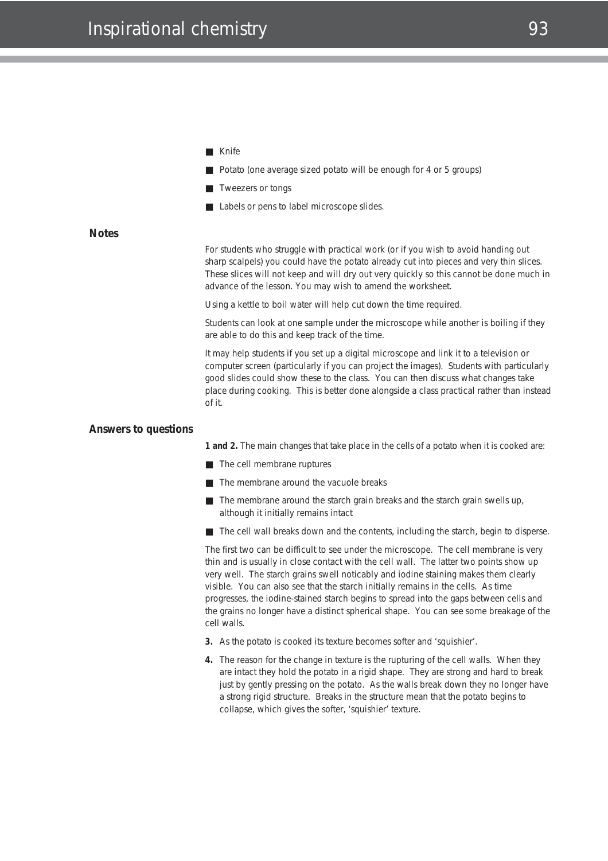- Knife
- Potato (one average sized potato will be enough for 4 or 5 groups)
- Tweezers or tongs
- Labels or pens to label microscope slides.

### **Notes**

For students who struggle with practical work (or if you wish to avoid handing out sharp scalpels) you could have the potato already cut into pieces and very thin slices. These slices will not keep and will dry out very quickly so this cannot be done much in advance of the lesson. You may wish to amend the worksheet.

Using a kettle to boil water will help cut down the time required.

Students can look at one sample under the microscope while another is boiling if they are able to do this and keep track of the time.

It may help students if you set up a digital microscope and link it to a television or computer screen (particularly if you can project the images). Students with particularly good slides could show these to the class. You can then discuss what changes take place during cooking. This is better done alongside a class practical rather than instead of it.

#### **Answers to questions**

**1 and 2.** The main changes that take place in the cells of a potato when it is cooked are:

- The cell membrane ruptures
- The membrane around the vacuole breaks
- The membrane around the starch grain breaks and the starch grain swells up, although it initially remains intact
- The cell wall breaks down and the contents, including the starch, begin to disperse.

The first two can be difficult to see under the microscope. The cell membrane is very thin and is usually in close contact with the cell wall. The latter two points show up very well. The starch grains swell noticably and iodine staining makes them clearly visible. You can also see that the starch initially remains in the cells. As time progresses, the iodine-stained starch begins to spread into the gaps between cells and the grains no longer have a distinct spherical shape. You can see some breakage of the cell walls.

- **3.** As the potato is cooked its texture becomes softer and 'squishier'.
- **4.** The reason for the change in texture is the rupturing of the cell walls. When they are intact they hold the potato in a rigid shape. They are strong and hard to break just by gently pressing on the potato. As the walls break down they no longer have a strong rigid structure. Breaks in the structure mean that the potato begins to collapse, which gives the softer, 'squishier' texture.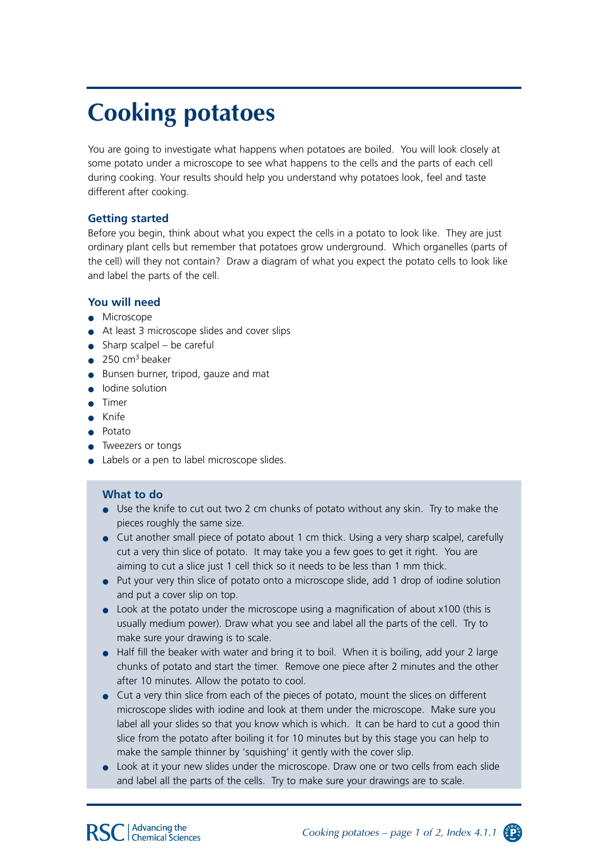## **Cooking potatoes**

You are going to investigate what happens when potatoes are boiled. You will look closely at some potato under a microscope to see what happens to the cells and the parts of each cell during cooking. Your results should help you understand why potatoes look, feel and taste different after cooking.

### **Getting started**

Before you begin, think about what you expect the cells in a potato to look like. They are just ordinary plant cells but remember that potatoes grow underground. Which organelles (parts of the cell) will they not contain? Draw a diagram of what you expect the potato cells to look like and label the parts of the cell.

### **You will need**

- Microscope
- At least 3 microscope slides and cover slips
- $\bullet$  Sharp scalpel be careful
- $\bullet$  250 cm<sup>3</sup> beaker
- Bunsen burner, tripod, gauze and mat
- Iodine solution
- Timer
- Knife
- Potato
- Tweezers or tongs
- Labels or a pen to label microscope slides.

## **What to do**

- Use the knife to cut out two 2 cm chunks of potato without any skin. Try to make the pieces roughly the same size.
- Cut another small piece of potato about 1 cm thick. Using a very sharp scalpel, carefully cut a very thin slice of potato. It may take you a few goes to get it right. You are aiming to cut a slice just 1 cell thick so it needs to be less than 1 mm thick.
- Put your very thin slice of potato onto a microscope slide, add 1 drop of iodine solution and put a cover slip on top.
- Look at the potato under the microscope using a magnification of about x100 (this is usually medium power). Draw what you see and label all the parts of the cell. Try to make sure your drawing is to scale.
- Half fill the beaker with water and bring it to boil. When it is boiling, add your 2 large chunks of potato and start the timer. Remove one piece after 2 minutes and the other after 10 minutes. Allow the potato to cool.
- Cut a very thin slice from each of the pieces of potato, mount the slices on different microscope slides with iodine and look at them under the microscope. Make sure you label all your slides so that you know which is which. It can be hard to cut a good thin slice from the potato after boiling it for 10 minutes but by this stage you can help to make the sample thinner by 'squishing' it gently with the cover slip.
- Look at it your new slides under the microscope. Draw one or two cells from each slide and label all the parts of the cells. Try to make sure your drawings are to scale.